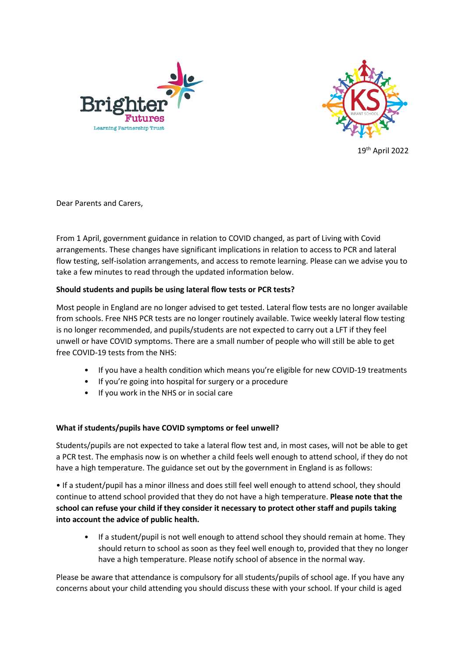



19th April 2022

Dear Parents and Carers,

From 1 April, government guidance in relation to COVID changed, as part of Living with Covid arrangements. These changes have significant implications in relation to access to PCR and lateral flow testing, self-isolation arrangements, and access to remote learning. Please can we advise you to take a few minutes to read through the updated information below.

## **Should students and pupils be using lateral flow tests or PCR tests?**

Most people in England are no longer advised to get tested. Lateral flow tests are no longer available from schools. Free NHS PCR tests are no longer routinely available. Twice weekly lateral flow testing is no longer recommended, and pupils/students are not expected to carry out a LFT if they feel unwell or have COVID symptoms. There are a small number of people who will still be able to get free COVID-19 tests from the NHS:

- If you have a health condition which means you're eligible for new COVID-19 treatments
- If you're going into hospital for surgery or a procedure
- If you work in the NHS or in social care

## **What if students/pupils have COVID symptoms or feel unwell?**

Students/pupils are not expected to take a lateral flow test and, in most cases, will not be able to get a PCR test. The emphasis now is on whether a child feels well enough to attend school, if they do not have a high temperature. The guidance set out by the government in England is as follows:

• If a student/pupil has a minor illness and does still feel well enough to attend school, they should continue to attend school provided that they do not have a high temperature. **Please note that the school can refuse your child if they consider it necessary to protect other staff and pupils taking into account the advice of public health.**

• If a student/pupil is not well enough to attend school they should remain at home. They should return to school as soon as they feel well enough to, provided that they no longer have a high temperature. Please notify school of absence in the normal way.

Please be aware that attendance is compulsory for all students/pupils of school age. If you have any concerns about your child attending you should discuss these with your school. If your child is aged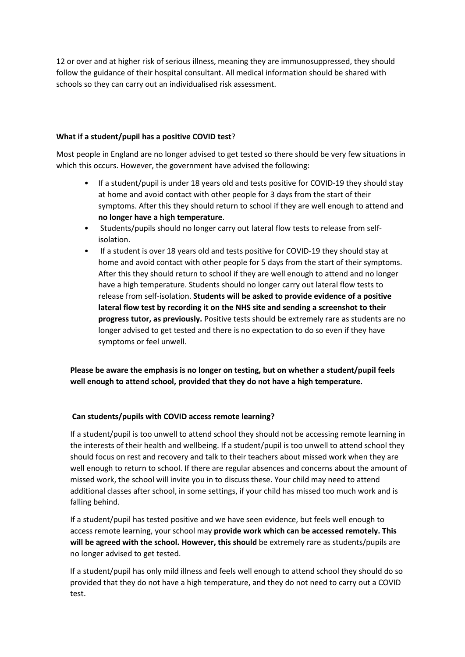12 or over and at higher risk of serious illness, meaning they are immunosuppressed, they should follow the guidance of their hospital consultant. All medical information should be shared with schools so they can carry out an individualised risk assessment.

# **What if a student/pupil has a positive COVID test**?

Most people in England are no longer advised to get tested so there should be very few situations in which this occurs. However, the government have advised the following:

- If a student/pupil is under 18 years old and tests positive for COVID-19 they should stay at home and avoid contact with other people for 3 days from the start of their symptoms. After this they should return to school if they are well enough to attend and **no longer have a high temperature**.
- Students/pupils should no longer carry out lateral flow tests to release from selfisolation.
- If a student is over 18 years old and tests positive for COVID-19 they should stay at home and avoid contact with other people for 5 days from the start of their symptoms. After this they should return to school if they are well enough to attend and no longer have a high temperature. Students should no longer carry out lateral flow tests to release from self-isolation. **Students will be asked to provide evidence of a positive lateral flow test by recording it on the NHS site and sending a screenshot to their progress tutor, as previously.** Positive tests should be extremely rare as students are no longer advised to get tested and there is no expectation to do so even if they have symptoms or feel unwell.

**Please be aware the emphasis is no longer on testing, but on whether a student/pupil feels well enough to attend school, provided that they do not have a high temperature.**

## **Can students/pupils with COVID access remote learning?**

If a student/pupil is too unwell to attend school they should not be accessing remote learning in the interests of their health and wellbeing. If a student/pupil is too unwell to attend school they should focus on rest and recovery and talk to their teachers about missed work when they are well enough to return to school. If there are regular absences and concerns about the amount of missed work, the school will invite you in to discuss these. Your child may need to attend additional classes after school, in some settings, if your child has missed too much work and is falling behind.

If a student/pupil has tested positive and we have seen evidence, but feels well enough to access remote learning, your school may **provide work which can be accessed remotely. This will be agreed with the school. However, this should** be extremely rare as students/pupils are no longer advised to get tested.

If a student/pupil has only mild illness and feels well enough to attend school they should do so provided that they do not have a high temperature, and they do not need to carry out a COVID test.